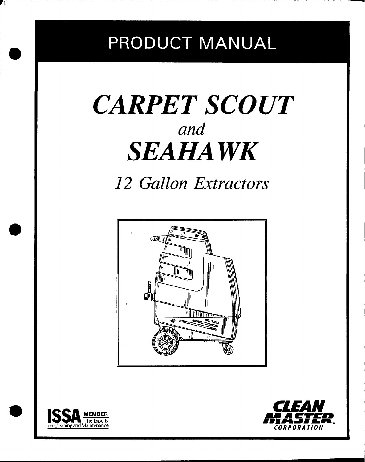# PRODUCT MANUAL

# *CARPET SCOUT and SEAHA WK*

*12 Gallon Extractors*





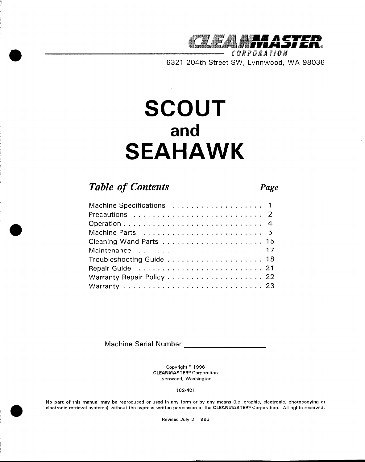

CORPORATION **6321 204th Street SW, Lynnwood, WA 98036**

# **SCOUT and SEAHAWK**

## *Table of Contents Page*

| Maintenance  17 |  |
|-----------------|--|
|                 |  |
|                 |  |
|                 |  |
|                 |  |

**Machine Serial Number**

**Copyright @1996 CLEANMASTER@ Corporation Lynnwood, Washington**

**182-401**

No part of this manual may be reproduced or used in any form or by any means (i.e. graphic, electronic, photocopying or electronic retrieval systems) without the express written permission of the CLEANMASTER® Corporation. All rights reserved.

**Revised July 2, 1996**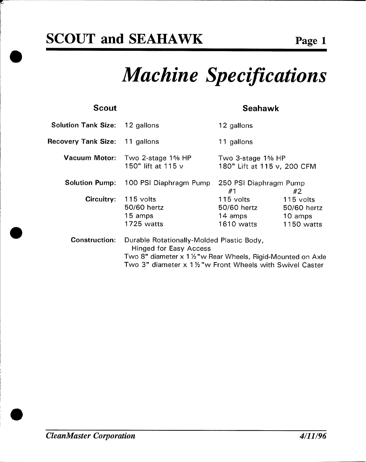# *Machine Specifications*

### **scout**

### **Seahawk**

| <b>Solution Tank Size: 12 gallons</b> |                                                                                                                                             | 12 gallons                                        |                                                   |
|---------------------------------------|---------------------------------------------------------------------------------------------------------------------------------------------|---------------------------------------------------|---------------------------------------------------|
| Recovery Tank Size: 11 gallons        |                                                                                                                                             | 11 gallons                                        |                                                   |
| <b>Vacuum Motor:</b>                  | Two 2-stage $1\%$ HP<br>150" lift at 115 v                                                                                                  | Two 3-stage 1% HP<br>180" Lift at 115 v, 200 CFM  |                                                   |
| <b>Solution Pump:</b>                 | 100 PSI Diaphragm Pump                                                                                                                      | 250 PSI Diaphragm Pump<br>#1                      | #2                                                |
| Circuitry:                            | 115 volts<br>50/60 hertz<br>15 amps<br>1725 watts                                                                                           | 115 volts<br>50/60 hertz<br>14 amps<br>1610 watts | 115 volts<br>50/60 hertz<br>10 amps<br>1150 watts |
| <b>Construction:</b>                  | Durable Rotationally-Molded Plastic Body,<br><b>Hinged for Easy Access</b><br>Two 8" diameter x 1 1/2 "w Rear Wheels, Rigid-Mounted on Axle |                                                   |                                                   |

**Two 3" diameter x 1 ?4"w Front Wheels with Swivel Caster**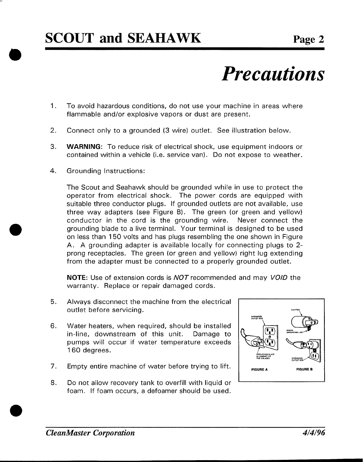# *Precautions*

- 1. **To avoid hazardous conditions, do not use your machine in areas where flammable and/or explosive vapors or dust are present.**
- **2. Connect only to a grounded (3 wire) outlet. See illustration below.**
- **3. WARNING: To reduce risk of electrical shock, use equipment indoors or contained within a vehicle (i.e. service van). Do not expose to weather.**
- **4. Grounding Instructions:**

*9*

**The Scout and Seahawk should be grounded while in use to protect the operator from electrical shock. The power cords are equipped with suitable three conductor plugs. If grounded outlets are not available, use three way adapters (see Figure B). The green (or green and yellow) conductor in the cord is the grounding wire. Never connect the grounding blade to a live terminal. Your terminal is designed to be used on less than 150 volts and has plugs resembling the one shown in Figure A. A grounding adapter is available locally for connecting plugs to 2 prong receptacles. The green (or green and yellow) right lug extending from the adapter must be connected to a properly grounded outlet,**

**NOTE: Use of extension cords is NOT recommended and may VO/D the warranty. Replace or repair damaged cords,**

- **5. Always disconnect the machine from the electrical outlet before servicing.**
- **6. Water heaters, when required, should be installed in-line, downstream of this unit. Damage to pumps will occur if water temperature exceeds 160 degrees.**
- **7. Empty entire machine of water before trying to lift.**
- **8. Do not allow recovery tank to overfill with liquid or <sup>1</sup> foam, If foam occurs, a defoamer should be used,**

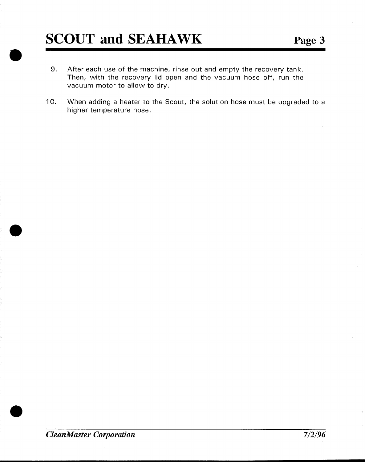- **9. After each use of the machine, rinse out and empty the recovery tank. Then, with the recovery lid open and the vacuum hose off, run the vacuum motor to allow to dry.**
- **10. When adding a heater to the Scout, the solution hose must be upgraded to a higher temperature hose.**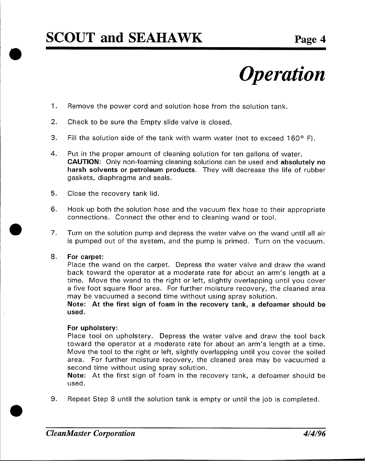# *Operation*

- 1. **Remove the power cord and solution hose from the solution tank.**
- **2. Check to be sure the Empty slide valve is closed.**
- **3. Fill the solution side of the tank with warm water (not to exceed 160° F).**
- **4. Put in the proper amount of cleaning solution for ten gallons of water. CAUTION: Only non-foaming cleaning solutions can be used and absolutely no harsh solvents or petroleum products, They will decrease the life of rubber gaskets, diaphragms and seals.**
- **5. Close the recovery tank lid,**
- **6, Hook up both the solution hose and the vacuum flex hose to their appropriate connections, Connect the other end to cleaning wand or tool,**
- **7. Turn on the solution pump and depress the water valve on the wand until all air is pumped out of the system, and the pump is primed. Turn on the vacuum.**

### **8, For carpet:**

**Place the wand on the carpet. Depress the water valve and draw the wand back toward the operator at a moderate rate for about an arm's length at a time. Move the wand to the right or left, slightly overlapping until you cover a five foot square floor area, For further moisture recovery, the cleaned area may be vacuumed a second time without using spray solution,**

**Note: At the first sign of foam in the recovery tank, a defoamer should be used.**

### **For upholstery:**

**Place tool on upholstery. Depress the water valve and draw the tool back toward the operator at a moderate rate for about an arm's length at a time. Move the tool to the right or left, slightly overlapping until you cover the soiled area. For further moisture recovery, the cleaned area may be vacuumed a second time without using spray solution,**

**Note: At the first sign of foam in the recovery tank, a defoamer should be used.**

**9. Repeat Step 8 until the solution tank is empty or until the job is completed.**

*(*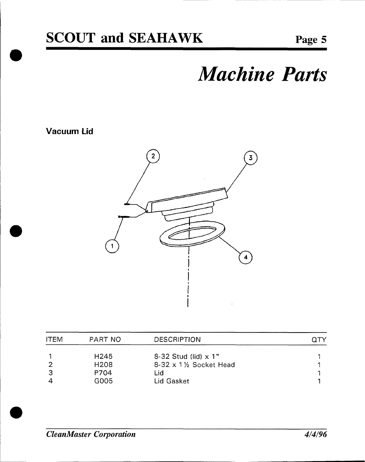# *Machine Parts*

### Vacuum Lid



| PART NO          | <b>DESCRIPTION</b>             |  |
|------------------|--------------------------------|--|
| H <sub>245</sub> | 8-32 Stud (lid) $\times$ 1"    |  |
| H <sub>208</sub> | $8-32 \times 1$ /2 Socket Head |  |
| P704             | Lid                            |  |
| G005             | Lid Gasket                     |  |
|                  |                                |  |

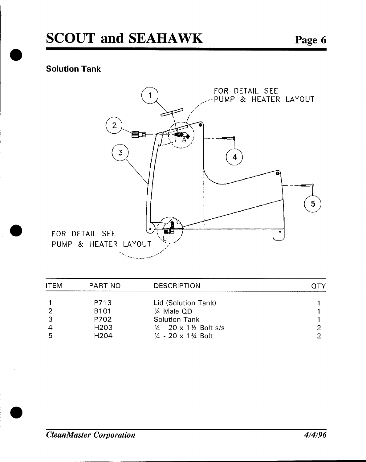### Solution Tank



| <b>ITEM</b> | PART NO          | <b>DESCRIPTION</b>                            |  |
|-------------|------------------|-----------------------------------------------|--|
|             | P713             | Lid (Solution Tank)                           |  |
| 2           | <b>B101</b>      | 1/4 Male QD                                   |  |
| 3           | P702             | <b>Solution Tank</b>                          |  |
|             | H <sub>203</sub> | $\frac{1}{4}$ - 20 x 1 $\frac{1}{2}$ Bolt s/s |  |
| 5           | H <sub>204</sub> | $\frac{1}{4}$ - 20 x 1 $\frac{3}{4}$ Bolt     |  |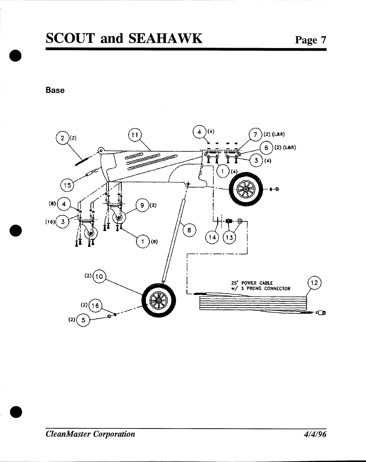## **SCOUT and SEAHAWK**

**Base** 

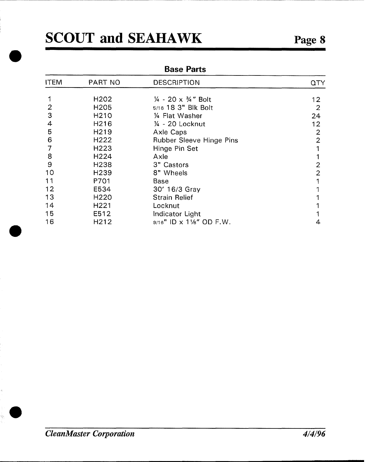*a*

**e**

 $\hat{a}_i$ 

### Base Parts

| <b>ITEM</b> | PART NO           | <b>DESCRIPTION</b>                        | QTY            |
|-------------|-------------------|-------------------------------------------|----------------|
|             |                   |                                           |                |
|             | H <sub>2</sub> 02 | $\frac{1}{4}$ - 20 x $\frac{3}{4}$ " Bolt | 12             |
| 2           | H205              | 5/16 18 3" Blk Bolt                       | $\overline{2}$ |
| 3           | H <sub>210</sub>  | 1/4 Flat Washer                           | 24             |
| 4           | H216              | $\frac{1}{4}$ - 20 Locknut                | 12             |
| 5           | H <sub>2</sub> 19 | Axle Caps                                 | $\overline{2}$ |
| 6           | H222              | Rubber Sleeve Hinge Pins                  | $\overline{2}$ |
|             | H <sub>223</sub>  | Hinge Pin Set                             |                |
| 8           | H <sub>224</sub>  | Axle                                      |                |
| 9           | H <sub>238</sub>  | 3" Castors                                | 2              |
| 10          | H <sub>239</sub>  | 8" Wheels                                 | $\overline{2}$ |
| 11          | P701              | Base                                      |                |
| 12          | E534              | 30' 16/3 Gray                             |                |
| 13          | H <sub>220</sub>  | <b>Strain Relief</b>                      |                |
| 14          | H <sub>221</sub>  | Locknut                                   |                |
| 15          | E512              | Indicator Light                           |                |
| 16          | H212              | $9/16$ " ID x 11/8" OD F.W.               | 4              |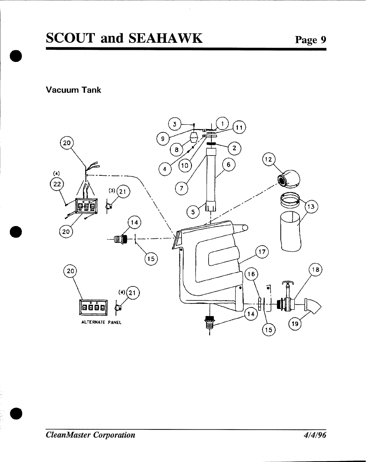## **SCOUT and SEAHAWK**

**Vacuum Tank** 

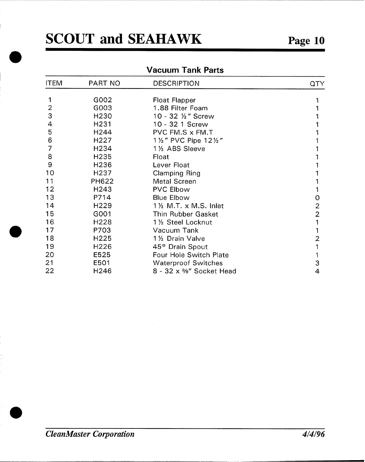**e**

**a**

### Vacuum Tank Parts

| <b>ITEM</b> | PART NO          | <b>DESCRIPTION</b>                       | QTY            |
|-------------|------------------|------------------------------------------|----------------|
| 1           | G002             |                                          |                |
| 2           | G003             | <b>Float Flapper</b><br>1.88 Filter Foam |                |
| 3           | H <sub>230</sub> | 10 - 32 1/2" Screw                       |                |
| 4           | H <sub>231</sub> | 10 - 32 1 Screw                          |                |
| 5           | H244             | PVC FM.S x FM.T                          |                |
|             |                  |                                          |                |
| 6           | H <sub>227</sub> | 11/2" PVC Pipe 121/2"                    |                |
| 7           | H <sub>234</sub> | 11/2 ABS Sleeve                          |                |
| 8           | H <sub>235</sub> | Float                                    |                |
| 9           | H <sub>236</sub> | Lever Float                              |                |
| 10          | H <sub>237</sub> | <b>Clamping Ring</b>                     |                |
| 11          | PH622            | <b>Metal Screen</b>                      |                |
| 12          | H <sub>243</sub> | <b>PVC Elbow</b>                         |                |
| 13          | P714             | <b>Blue Elbow</b>                        | 0              |
| 14          | H <sub>229</sub> | 1 1/2 M.T. x M.S. Inlet                  | $\overline{c}$ |
| 15          | G001             | Thin Rubber Gasket                       | $\overline{2}$ |
| 16          | H <sub>228</sub> | 11/2 Steel Locknut                       |                |
| 17          | P703             | Vacuum Tank                              |                |
| 18          | H225             | 11/2 Drain Valve                         | 2              |
| 19          | H <sub>226</sub> | 45° Drain Spout                          |                |
| 20          | E525             | Four Hole Switch Plate                   |                |
| 21          | E501             | <b>Waterproof Switches</b>               | 3              |
| 22          | H246             | 8 - 32 x %" Socket Head                  | 4              |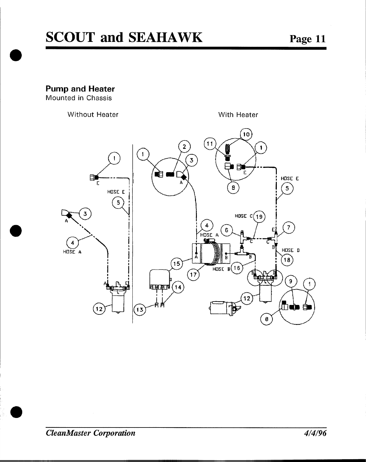**Pump and Heater** 

Mounted in Chassis

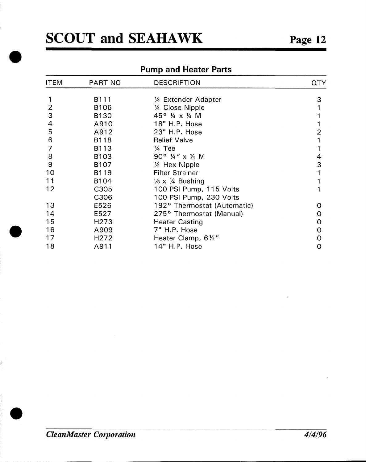**e**

 $\mathbb{R}^n$ 

### Pump and Heater Parts

| <b>ITEM</b> | PART NO          | <b>DESCRIPTION</b>                    | QTY |
|-------------|------------------|---------------------------------------|-----|
|             | B111             | 1/4 Extender Adapter                  | 3   |
| 2           | B <sub>106</sub> | 1/4 Close Nipple                      |     |
| 3           | <b>B130</b>      | 45° ¼ x ¼ M                           |     |
| 4           | A910             | 18" H.P. Hose                         |     |
| 5           | A912             | 23" H.P. Hose                         | 2   |
| 6           | B118             | <b>Relief Valve</b>                   |     |
| 7           | B113             | $\frac{1}{4}$ Tee                     |     |
| 8           | B103             | 90° $\frac{1}{4}$ " x $\frac{1}{4}$ M | 4   |
| 9           | B <sub>107</sub> | 1/4 Hex Nipple                        | 3   |
| 10          | B119             | <b>Filter Strainer</b>                | 1   |
| 11          | B <sub>104</sub> | $\frac{1}{8}$ x $\frac{1}{4}$ Bushing |     |
| 12          | C305             | 100 PSI Pump, 115 Volts               |     |
|             | C306             | 100 PSI Pump, 230 Volts               |     |
| 13          | E526             | 192° Thermostat (Automatic)           | O   |
| 14          | E527             | 275° Thermostat (Manual)              | 0   |
| 15          | H <sub>273</sub> | <b>Heater Casting</b>                 | 0   |
| 16          | A909             | 7" H.P. Hose                          | 0   |
| 17          | H <sub>272</sub> | Heater Clamp, 61/2"                   | 0   |
| 18          | A911             | 14" H.P. Hose                         | 0   |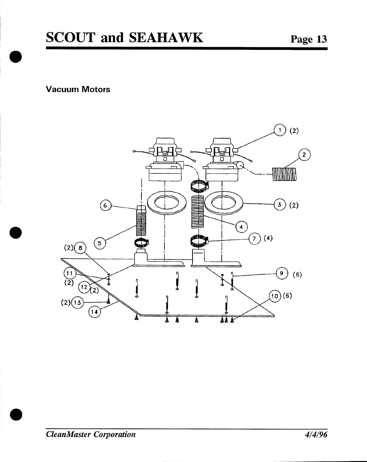**Vacuum Motors** 

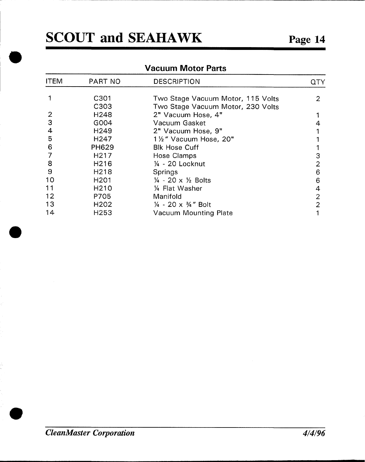,

\*

### Vacuum Motor Parts

| <b>ITEM</b> | PART NO           | <b>DESCRIPTION</b>                        |   |
|-------------|-------------------|-------------------------------------------|---|
|             |                   |                                           |   |
|             | C301              | Two Stage Vacuum Motor, 115 Volts         | 2 |
|             | C303              | Two Stage Vacuum Motor, 230 Volts         |   |
| 2           | H <sub>248</sub>  | 2" Vacuum Hose, 4"                        |   |
| 3           | G004              | Vacuum Gasket                             |   |
| 4           | H <sub>249</sub>  | 2" Vacuum Hose, 9"                        |   |
| 5           | H <sub>247</sub>  | 11/2" Vacuum Hose, 20"                    |   |
| 6           | <b>PH629</b>      | <b>Blk Hose Cuff</b>                      |   |
|             | H <sub>217</sub>  | Hose Clamps                               | 3 |
| 8           | H <sub>216</sub>  | $\frac{1}{4}$ - 20 Locknut                | 2 |
| 9           | H <sub>2</sub> 18 | Springs                                   | 6 |
| 10          | H <sub>201</sub>  | $\frac{1}{4}$ - 20 x $\frac{1}{2}$ Bolts  | 6 |
| 11          | H <sub>210</sub>  | 1/4 Flat Washer                           | 4 |
| 12          | P705              | Manifold                                  | 2 |
| 13          | H <sub>202</sub>  | $\frac{1}{4}$ - 20 x $\frac{3}{4}$ " Bolt | 2 |
| 14          | H <sub>253</sub>  | Vacuum Mounting Plate                     |   |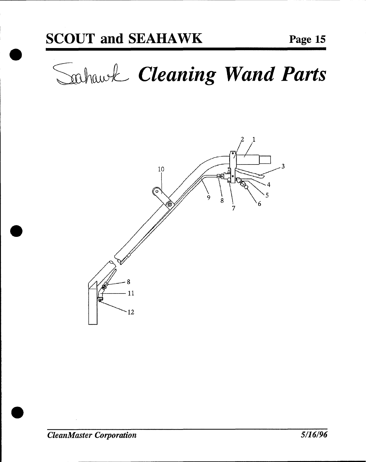Sahawk Cleaning Wand Parts

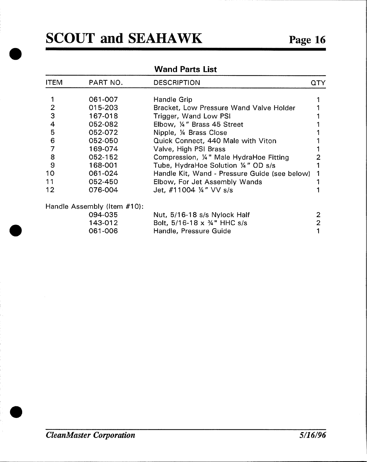### Wand Parts List

| <b>ITEM</b>    | PART NO.                    | <b>DESCRIPTION</b>                            | 0TY |
|----------------|-----------------------------|-----------------------------------------------|-----|
|                | 061-007                     | Handle Grip                                   |     |
| 2              | 015-203                     | Bracket, Low Pressure Wand Valve Holder       |     |
| 3              | 167-018                     | Trigger, Wand Low PSI                         |     |
| 4              | 052-082                     | Elbow, 1/4" Brass 45 Street                   |     |
| $5\phantom{1}$ | 052-072                     | Nipple, 1/4 Brass Close                       |     |
| 6              | 052-050                     | Quick Connect, 440 Male with Viton            |     |
|                | 169-074                     | Valve, High PSI Brass                         |     |
| 8              | 052-152                     | Compression, 1/4" Male HydraHoe Fitting       |     |
| 9              | 168-001                     | Tube, HydraHoe Solution 1/4" OD s/s           |     |
| 10             | 061-024                     | Handle Kit, Wand - Pressure Guide (see below) |     |
| 11             | 052-450                     | Elbow, For Jet Assembly Wands                 |     |
| 12             | 076-004                     | Jet, #11004 $\frac{1}{4}$ VV s/s              |     |
|                | Handle Assembly (Item #10): |                                               |     |
|                | 094-035                     | Nut, 5/16-18 s/s Nylock Half                  | 2   |
|                | 143-012                     | Bolt, $5/16 - 18 \times 34$ " HHC s/s         | 2   |
|                | 061-006                     | Handle, Pressure Guide                        |     |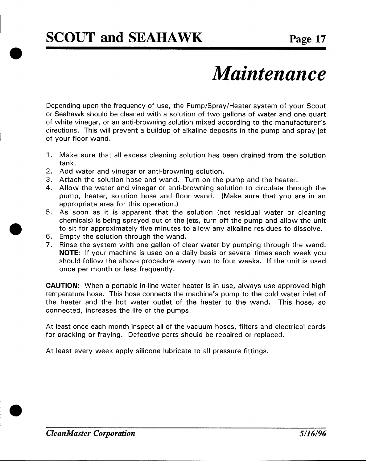# *Maintenance*

**Depending upon the frequency of use, the Pump/Spray/Heater system of your Scout or Seahawk should be cleaned with a solution of two gallons of water and one quart of white vinegar, or an anti-browning solution mixed according to the manufacturer's directions. This will prevent a buildup of alkaline deposits in the pump and spray jet of your floor wand,**

- 1. **Make sure that all excess cleaning solution has been drained from the solution tank.**
- **2, Add water and vinegar or anti-browning solution.**
- **3, Attach the solution hose and wand. Turn on the pump and the heater,**
- **4. Allow the water and vinegar or anti-browning solution to circulate through the pump, heater, solution hose and floor wand. (Make sure that you are in an appropriate area for this operation. )**
- **5. As soon as it is apparent that the solution (not residual water or cleaning chemicals) is being sprayed out of the jets, turn off the pump and allow the unit to sit for approximately five minutes to allow any alkaline residues to dissolve.**
- **6. Empty the solution through the wand,**
- **7. Rinse the system with one gallon of clear water by pumping through the wand. NOTE: If your machine is used on a daily basis or several t[mes each week you should follow the above procedure every two to four weeks. If the unit is used once per month or less frequently.**

**CAUTION: When a portable in-line water heater is in use, always use approved high temperature hose. This hose connects the machine's pump to the cold water inlet of the heater and the hot water outlet of the heater to the wand. This hose, so connected, increases the life of the pumps.**

**At least once each month inspect all of the vacuum hoses, filters and electrical cords for cracking or fraying. Defective parts should be repaired or replaced,**

**At least every week apply silicone lubricate to all pressure fittings.**

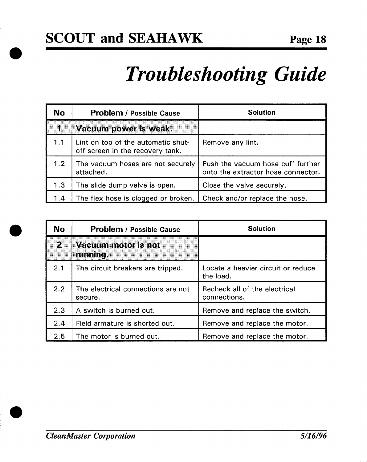# **Troubleshooting Guide**

| No.              | <b>Problem / Possible Cause</b>                                        | <b>Solution</b>                                                         |
|------------------|------------------------------------------------------------------------|-------------------------------------------------------------------------|
| Ã.               | Vacuum power is weak.                                                  |                                                                         |
| 1.1              | Lint on top of the automatic shut-<br>off screen in the recovery tank. | Remove any lint.                                                        |
| 1.2 <sub>1</sub> | The vacuum hoses are not securely<br>attached.                         | Push the vacuum hose cuff further<br>onto the extractor hose connector. |
| 1.3              | The slide dump valve is open.                                          | Close the valve securely.                                               |
| 1.4              | The flex hose is clogged or broken.                                    | Check and/or replace the hose.                                          |

| <b>No</b> | <b>Problem / Possible Cause</b>               | <b>Solution</b>                                 |
|-----------|-----------------------------------------------|-------------------------------------------------|
| И         | Vacuum motor is not<br>running.               |                                                 |
| 2.1       | The circuit breakers are tripped.             | Locate a heavier circuit or reduce<br>the load. |
| 2.2       | The electrical connections are not<br>secure. | Recheck all of the electrical<br>connections.   |
| 2.3       | A switch is burned out.                       | Remove and replace the switch.                  |
| 2.4       | Field armature is shorted out.                | Remove and replace the motor.                   |
| 2.5       | The motor is burned out.                      | Remove and replace the motor.                   |

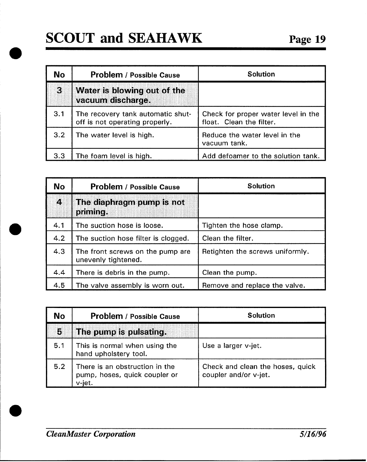## **SCOUT and SEAHAWK**

| No. | <b>Problem / Possible Cause</b>                                     | <b>Solution</b>                                                 |
|-----|---------------------------------------------------------------------|-----------------------------------------------------------------|
| IC. | Water is blowing out of the<br>vacuum discharge.                    |                                                                 |
| 3.1 | The recovery tank automatic shut-<br>off is not operating properly. | Check for proper water level in the<br>float. Clean the filter. |
| 3.2 | The water level is high.                                            | Reduce the water level in the<br>vacuum tank.                   |
| 3.3 | The foam level is high.                                             | Add defoamer to the solution tank.                              |

| <b>No</b> | <b>Problem / Possible Cause</b>                         | <b>Solution</b>                 |
|-----------|---------------------------------------------------------|---------------------------------|
| 4.        | The diaphragm pump is not<br>primine.                   |                                 |
| 4.1       | The suction hose is loose.                              | Tighten the hose clamp.         |
| 4.2       | The suction hose filter is clogged.                     | Clean the filter.               |
| 4.3       | The front screws on the pump are<br>unevenly tightened. | Retighten the screws uniformly. |
| 4.4       | There is debris in the pump.                            | Clean the pump.                 |
| 4.5       | The valve assembly is worn out.                         | Remove and replace the valve.   |

| No  | <b>Problem / Possible Cause</b>                                           | <b>Solution</b>                                           |
|-----|---------------------------------------------------------------------------|-----------------------------------------------------------|
| 5   | The pump is pulsating.                                                    |                                                           |
| 5.1 | This is normal when using the<br>hand upholstery tool.                    | Use a larger v-jet.                                       |
| 5.2 | There is an obstruction in the<br>pump, hoses, quick coupler or<br>v-jet. | Check and clean the hoses, quick<br>coupler and/or v-jet. |

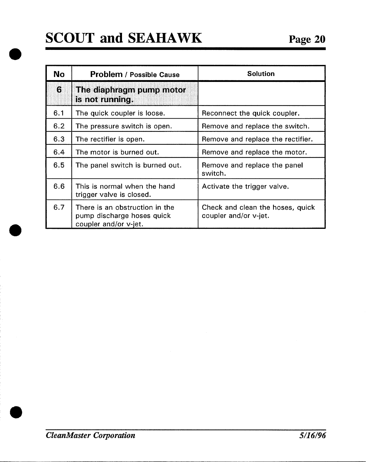| <b>No</b> | <b>Problem / Possible Cause</b>                                                       | <b>Solution</b>                                           |
|-----------|---------------------------------------------------------------------------------------|-----------------------------------------------------------|
| 6         | The diaphragm pump motor<br>is not running.                                           |                                                           |
| 6.1       | The quick coupler is loose.                                                           | Reconnect the quick coupler.                              |
| 6.2       | The pressure switch is open.                                                          | Remove and replace the switch.                            |
| 6.3       | The rectifier is open.                                                                | Remove and replace the rectifier.                         |
| 6.4       | The motor is burned out.                                                              | Remove and replace the motor.                             |
| 6.5       | The panel switch is burned out.                                                       | Remove and replace the panel<br>switch.                   |
| 6.6       | This is normal when the hand<br>trigger valve is closed.                              | Activate the trigger valve.                               |
| 6.7       | There is an obstruction in the<br>pump discharge hoses quick<br>coupler and/or v-jet. | Check and clean the hoses, quick<br>coupler and/or v-jet. |

**o**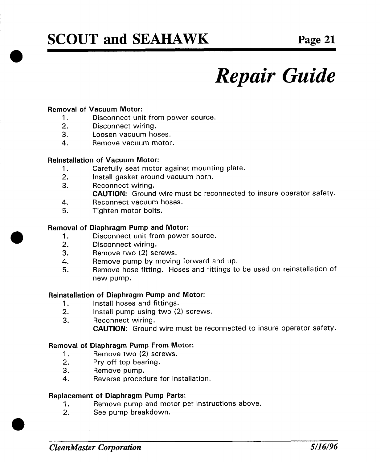## **SCOUT and SEAHAWK**

# *Repair Guide*

### **Removal of Vacuum Motor:**

- **1. Disconnect unit from power source.**<br>2. **Disconnect wiring.**
- **Disconnect wiring.**
- $3.$ Loosen vacuum hoses.
- **Reinstallation of Vacuum Motor:**

### **Reinstallation of Vacuum Motor:**

- 1. Carefully seat motor against mounting plate.<br>2. **Install gasket around vacuum horn.**
- **Install gasket around vacuum horn.**
- **4.** *Reconnect wiring.* 
	- CAUTION: Ground wire must be reconnected to insure operator safety.
- 4. Reconnect vacuum hoses.
- **8.** Tighten motor bolts.

### **Removal of Diaphragm Pump and Motor:**

- **1. Disconnect unit from power source.**<br>**2. Disconnect wiring.**
- **4. C** Disconnect wiring.<br>**4. Remove** two (2) so
- **5. Remove hose fitting. Hoses and fittings to be used on reinstallation of**
- 
- Remove pump by moving forward and up.<br>Remove hose fitting. Hoses and fittings to be used on reinstallation of 5.  $new$  pump.

### **Reinstallation of Diaphragm Pump and Motor:**

- **1. Report Burner has and fittings.**<br>**2. Report and I** not all pump using two (2)
- **CAUTION: CAUTION: CAUTION: CAUTION: CAUTION: CAUTION: CAUTION: CAUTION: CAUTION: CAUTION: CAUTION: CAUTION: CAUTION: CAUTION: CAUTION: CAUTION: CAUTION: CAUTION: CAUTION: CAUTION: C**
- 3.
	- **CAUTION:** Ground wire must be reconnected to insure operator safety.

## **2. Removal of Diaphragm Pump From Motor:**<br>**2. 2. Propyre two (2) screws.**

- **Remove two (2) screws.**
- **2. Pry off top bearing.**
- 3. Remove pump.
- **4.** Reverse procedure for installation.

- **2. Replacement of Diaphragm Pump Parts:**<br>2. **Bernove pump and motor per instructions above.**  $1<sub>1</sub>$ 
	- $2.$ See pump breakdown.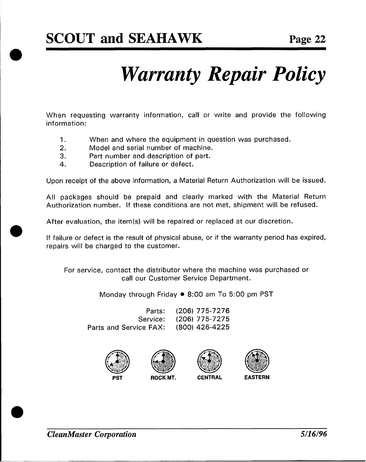# *Warranty Repair Policy*

**When requesting warranty information, call or write and provide the following information:**

- 1, **When and where the equipment in question was purchased.**
- **2, Model and serial number of machine.**
- **3. Part number and description of part.**
- **4, Description of failure or defect.**

**Upon receipt of the above information, a Material Return Authorization will be issued.**

**All packages should be prepaid and clearly marked with the Material Return Authorization number. If these conditions are not met, shipment will be refused.**

**After evaluation, the item(s) will be repaired or replaced at our discretion.**

**If failure or defect is the result of physical abuse, or if the warranty period has expired, repairs will be charged to the customer.**

**For service, contact the distributor where the machine was purchased or call our Customer Service Department.**

**Monday through Friday** ● **8:00 am To 5:00 pm PST**

**Parts: (206) 775-7276 Service: (206) 775-7275 Parts** and **Service FAX:**